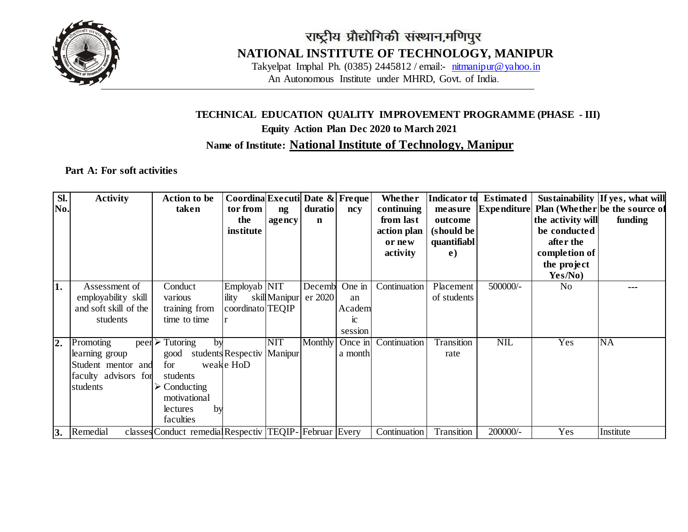

## राष्ट्रीय प्रौद्योगिकी संस्थान,मणिपुर **NATIONAL INSTITUTE OF TECHNOLOGY, MANIPUR**

Takyelpat Imphal Ph. (0385) 2445812 / email:- [nitmanipur@yahoo.in](mailto:nitmanipur@yahoo.in) An Autonomous Institute under MHRD, Govt. of India.

### **TECHNICAL EDUCATION QUALITY IMPROVEMENT PROGRAMME (PHASE - III) Equity Action Plan Dec 2020 to March 2021 Name of Institute: National Institute of Technology, Manipur**

#### **Part A: For soft activities**

| SI.<br>No.       | <b>Activity</b>                                                                       | <b>Action to be</b><br>taken                                                                                                               | Coordina Executi Date & Freque<br>tor from<br>the<br>institute | ng<br>agency  | duratio<br>$\mathbf n$ | ncy                                     | Whether<br>continuing<br>from last<br>action plan<br>or new<br>activity | <b>Indicator to</b><br>measure<br>outcome<br>(should be<br>quantifiabl<br>e) | <b>Estimated</b><br><b>Expenditure</b> | the activity will<br>be conducted<br>after the<br>completion of<br>the project<br>Yes/No) | Sustainability If yes, what will<br>Plan (Whether be the source of<br>funding |
|------------------|---------------------------------------------------------------------------------------|--------------------------------------------------------------------------------------------------------------------------------------------|----------------------------------------------------------------|---------------|------------------------|-----------------------------------------|-------------------------------------------------------------------------|------------------------------------------------------------------------------|----------------------------------------|-------------------------------------------------------------------------------------------|-------------------------------------------------------------------------------|
| 1.               | Assessment of<br>employability skill<br>and soft skill of the<br>students             | Conduct<br>various<br>training from<br>time to time                                                                                        | Employab NIT<br>ility<br>coordinato TEQIP                      | skill Manipur | Decemb<br>er 2020      | One in<br>an<br>Academ<br>1C<br>session | Continuation                                                            | Placement<br>of students                                                     | 500000/-                               | N <sub>0</sub>                                                                            |                                                                               |
| $\overline{2}$ . | Promoting<br>learning group<br>Student mentor and<br>faculty advisors for<br>students | $peer \geq Tutoring$<br>by<br>good<br>for<br>students<br>$\triangleright$ Conducting<br>motivational<br>by<br><b>lectures</b><br>faculties | students Respectiv Manipur<br>weake HoD                        | <b>NIT</b>    | <b>Monthly</b>         | Once in<br>a month                      | Continuation                                                            | Transition<br>rate                                                           | <b>NIL</b>                             | Yes                                                                                       | <b>NA</b>                                                                     |
| 3.               | Remedial                                                                              | classes Conduct remedial Respectiv TEQIP- Februar Every                                                                                    |                                                                |               |                        |                                         | Continuation                                                            | Transition                                                                   | 200000/-                               | Yes                                                                                       | Institute                                                                     |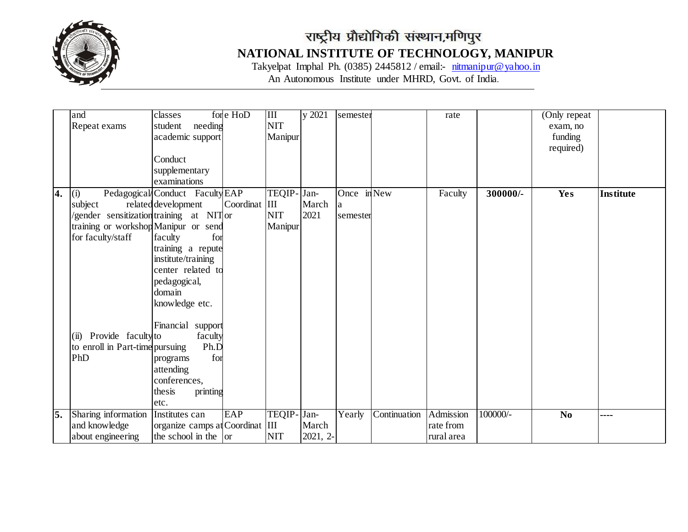

# राष्ट्रीय प्रौद्योगिकी संस्थान,मणिपुर **NATIONAL INSTITUTE OF TECHNOLOGY, MANIPUR**

Takyelpat Imphal Ph. (0385) 2445812 / email:- [nitmanipur@yahoo.in](mailto:nitmanipur@yahoo.in) An Autonomous Institute under MHRD, Govt. of India.

|                  | and                                      | classes                         | for e HoD     | $\mathbf{I}$ | y 2021   | semester    |              | rate       |            | (Only repeat)  |                  |
|------------------|------------------------------------------|---------------------------------|---------------|--------------|----------|-------------|--------------|------------|------------|----------------|------------------|
|                  | Repeat exams                             | student<br>needing              |               | <b>NIT</b>   |          |             |              |            |            | exam, no       |                  |
|                  |                                          | academic support                |               | Manipur      |          |             |              |            |            | funding        |                  |
|                  |                                          |                                 |               |              |          |             |              |            |            | required)      |                  |
|                  |                                          | Conduct                         |               |              |          |             |              |            |            |                |                  |
|                  |                                          | supplementary                   |               |              |          |             |              |            |            |                |                  |
|                  |                                          | examinations                    |               |              |          |             |              |            |            |                |                  |
| $\overline{4}$ . | (i)                                      | Pedagogical Conduct Faculty EAP |               | TEQIP-       | Jan-     | Once in New |              | Faculty    | 300000/-   | Yes            | <b>Institute</b> |
|                  | subject                                  | related development             | Coordinat III |              | March    | a           |              |            |            |                |                  |
|                  | /gender sensitization training at NIT or |                                 |               | <b>NIT</b>   | 2021     | semester    |              |            |            |                |                  |
|                  | training or workshop Manipur or send     |                                 |               | Manipur      |          |             |              |            |            |                |                  |
|                  | for faculty/staff                        | for<br>faculty                  |               |              |          |             |              |            |            |                |                  |
|                  |                                          | training a repute               |               |              |          |             |              |            |            |                |                  |
|                  |                                          | institute/training              |               |              |          |             |              |            |            |                |                  |
|                  |                                          | center related to               |               |              |          |             |              |            |            |                |                  |
|                  |                                          | pedagogical,                    |               |              |          |             |              |            |            |                |                  |
|                  |                                          | domain                          |               |              |          |             |              |            |            |                |                  |
|                  |                                          | knowledge etc.                  |               |              |          |             |              |            |            |                |                  |
|                  |                                          |                                 |               |              |          |             |              |            |            |                |                  |
|                  |                                          | Financial support               |               |              |          |             |              |            |            |                |                  |
|                  | (ii) Provide faculty to                  | faculty                         |               |              |          |             |              |            |            |                |                  |
|                  | to enroll in Part-time pursuing          | Ph.D                            |               |              |          |             |              |            |            |                |                  |
|                  | PhD                                      | for<br>programs                 |               |              |          |             |              |            |            |                |                  |
|                  |                                          | attending                       |               |              |          |             |              |            |            |                |                  |
|                  |                                          | conferences,                    |               |              |          |             |              |            |            |                |                  |
|                  |                                          | thesis<br>printing              |               |              |          |             |              |            |            |                |                  |
|                  |                                          | etc.                            |               |              |          |             |              |            |            |                |                  |
| 5.               | Sharing information                      | Institutes can                  | EAP           | TEQIP-       | Jan-     | Yearly      | Continuation | Admission  | $100000/-$ | N <sub>0</sub> |                  |
|                  | and knowledge                            | organize camps at Coordinat III |               |              | March    |             |              | rate from  |            |                |                  |
|                  | about engineering                        | the school in the $\vert$ or    |               | <b>NIT</b>   | 2021, 2- |             |              | rural area |            |                |                  |